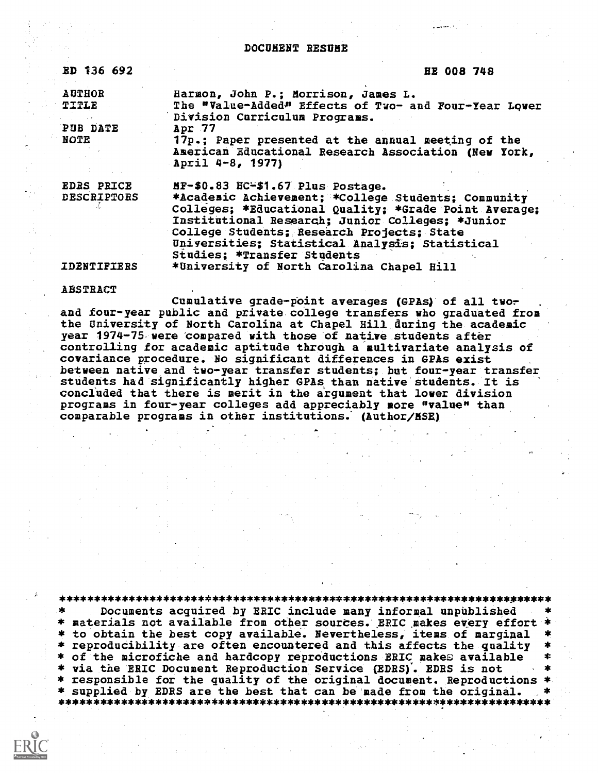DOCUMENT RESUME

ED 136 692 HE 008 748

| <b>AUTHOR</b> | Harmon, John P.; Morrison, James L.                   |
|---------------|-------------------------------------------------------|
| <b>TITLE</b>  | The "Value-Added" Effects of Two- and Four-Year Lower |
|               | Division Curriculum Programs.                         |
| PUB DATE      | Apr.77                                                |
| NOTE          | 17p.; Paper presented at the annual meeting of the    |
|               | American Educational Research Association (New York,  |
|               | April 4-8, 1977)                                      |

EDRS PRICE MF-\$0.83 HC-\$1.67 Plus Postage.<br>DESCRIPTORS \*Academic Achievement: \*College \*Academic Achievement; \*College Students; Community Colleges; \*Educational Quality; \*Grade Point Average; Institutional Research; Junior Colleges; \*Junior College Students; Research Projects; State Universities; Statistical Analysis; Statistical Studies; \*Transfer Students IDENTIFIERS \*University of North Carolina Chapel Hill

ABSTRACT

Cumulative grade-point averages (GPAs) of all twoand four-year public and private college transfers who graduated from the University of North Carolina at Chapel Hill during the academic year 1974-75 were compared with those of native students after controlling for academic aptitude through a multivariate analysis of covariance procedure. No significant differences in GPAs exist between native and two-year transfer students; but four-year transfer students had significantly higher GPAs than native students. It is concluded that there is merit in the argument that lover division programs in four-year colleges add appreciably more "value" than comparable programs in other institutions; (Author/MSH)

\*\*\*\*\*\*\*\*\*\*\*\*\*\*\*\*\*\*\*\*\*\*\*\*\*\*\*\*\*\*\*\*\*\*\*\*\*\*\*\*\*\*\*\*\*\*\*\*\*\*\*\*\*\*\*\*\*\*\*\*\*\*\*\*\*\*\*\*\*\*\* \* Documents acquired by ERIC include many informal unpublished \*<br>\* materials not available from other sources. ERIC makes every effort \* \* to obtain the best copy available. Nevertheless, items of marginal<br>\* reproducibility are often encountered and this affects the quality \* of the microfiche and hardcopy reproductions ERIC makes available \* via the ERIC Document Reproduction Service (EDRS). EDRS is not \* responsible for the quality of the original document. Reproductions \* \* supplied by EDRS are the best that can be made from the original. \* \*\*\*\*\*\*\*\*\*\*\*\*\*\*\*\*\*\*\*\*\*\*\*\*\*\*\*\*\*\*\*\*\*\*\*\*\*\*\*\*\*\*\*\*\*\*\*\*\*\*\*\*\*\*\*\*\*\*\*\*\*\*\*\*\*\*\*\*\*\*\*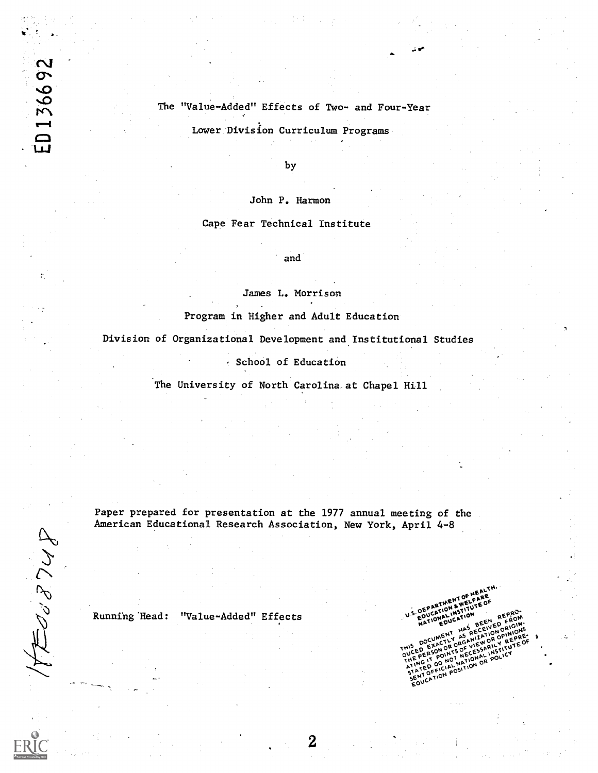# The "Value-Added" Effects of Two- and Four-Year

Lower Division Curriculum Programs

by

John P. Harmon

Cape Fear Technical Institute

and

James L. Morrison

Program in Higher and Adult Education

Division of Organizational Development and Institutional Studies

. School of Education

The University of North Carolina at Chapel Hill

Paper prepared for presentation at the 1977 annual meeting of the American Educational Research Association, New York, April 4-8

HEUSBUP

ED 136692

Running Head: "Value-Added" Effects

ARTMENT OF **THOMA DEPA EPERT POINT NECESSAL**  $\frac{1}{20}$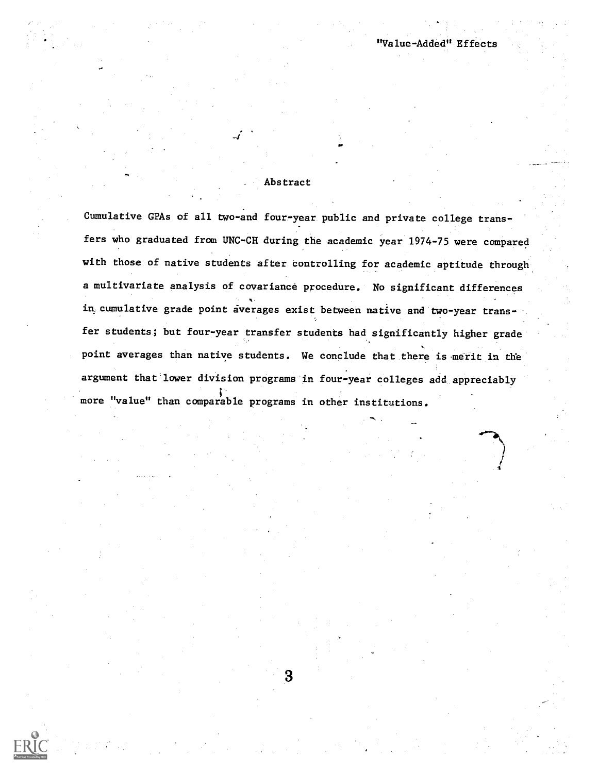## Abstract

"Value-Added" Effects

Cumulative GPAs of all two-and four-year public and private college transfers who graduated from UNC-CH during the academic year 1974-75 were compared with those of native students after controlling for academic aptitude through a multivariate analysis of coyariance procedure. No significant differences in,cumulative grade point averages exist between native and two-year transfer students; but four-year transfer students had significantly higher grade point averages than native students. We conclude that there is merit in the argument that lower division programs in four-year colleges add appreciably more "value" than comparable programs in other institutions.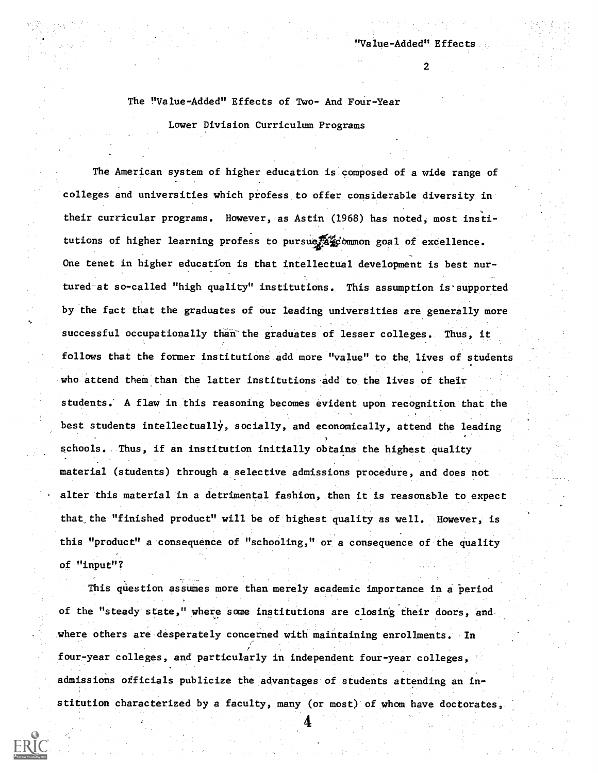## The "Value-Added" Effects of Two- And Four-Year

Lower Division Curriculum Programs

The American system of higher education is composed of a wide range of colleges and universities which profess to offer considerable diversity in their curricular programs. However, as Astin (1968) has noted, most institutions of higher learning profess to pursue a common goal of excellence. One tenet in higher education is that intellectual development is best nurtured at so-called "high quality" institutions. This assumption is supported by the fact that the graduates of our leading universities are generally more successful occupationally than'the graduates of lesser colleges. Thus, it follows that the former institutions add more "value" to the lives of students who attend them than the latter institutions add to the lives of their students. A flaw in this reasoning becomes evident upon recognition that the best students intellectually, socially, and economically, attend the leading schools. Thus, if an institution initially obtains the highest quality material (students) through a selective admissions procedure, and does not alter this material in a detrimental fashion, then it is reasonable to expect that the "finished product" will be of highest quality as well. However, is this "product" a consequence of "schooling," or a consequence of the quality of "input"?

This question assumes more than merely academic importance in a period of the "steady state," where some institutions are closing their doors, and where others are desperately concerned with maintaining enrollments. In four-year colleges, and particularly in independent four-year colleges, admissions officials publicize the advantages of students attending an institution characterized by a faculty, many (or most) of whom have doctorates,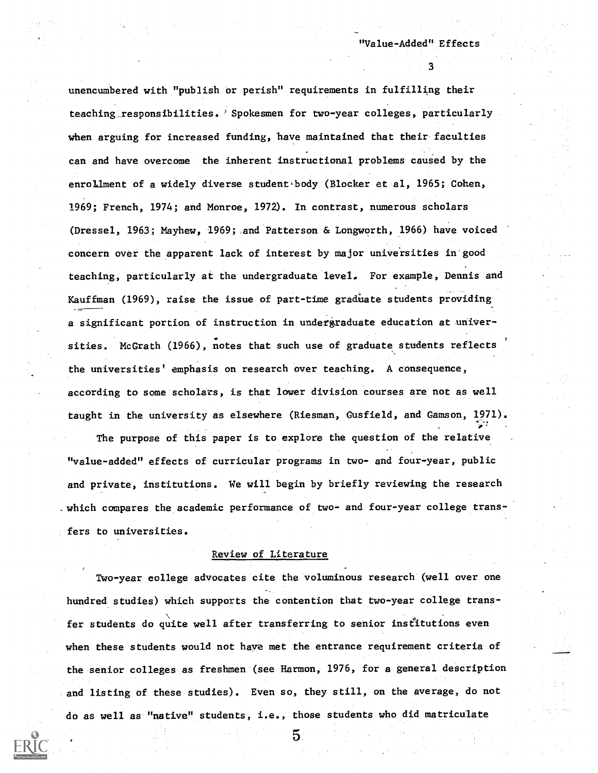unencumbered with "publish or perish" requirements in fulfilling their teaching\_responsibilities. 'Spokesmen for two-year colleges, particularly when arguing for increased funding, have maintained that their faculties can and have overcome the inherent instructional problems caused by the enrollment of a widely diverse student body (Blocker et al, 1965; Cohen, 1969; French, 1974; and Monroe, 1972). In contrast, numerous scholars (Dressel, 1963; Mayhew, 1969; and Patterson & Longworth, 1966) have voiced concern over the apparent lack of interest by major universities in good teaching, particularly at the undergraduate level. For example, Dennis and Kauffman (1969), raise the issue of part-time gradinate students providing a significant portion of instruction in undergraduate education at univer sities. McGrath (1966), notes that such use of graduate students reflects the universities' emphasis on research over teaching. A consequence, according to some scholars, is that lower division courses are not as well taught in the university as elsewhere (Riesman, Gusfield, and Gamson, 1971).

The purpose of this paper is to explore the question of the relative "value-added" effects of curricular programs in two- and four-year, public and private, institutions. We will begin by briefly reviewing the research -which compares the academic performance of two- and four-year college transfers to universities.

#### Review of Literature

Two-year college advocates cite the voluminous research (well over one hundred studies) which supports the contention that two-year college transfer students do quite well after transferring to senior institutions even when these students would not have met the entrance requirement criteria of the senior colleges as freshmen (see Harmon, 1976, for a general description and listing of these studies). Even so, they still, on the average, do not do as well as 'native" students, i.e., those students who did matriculate

5.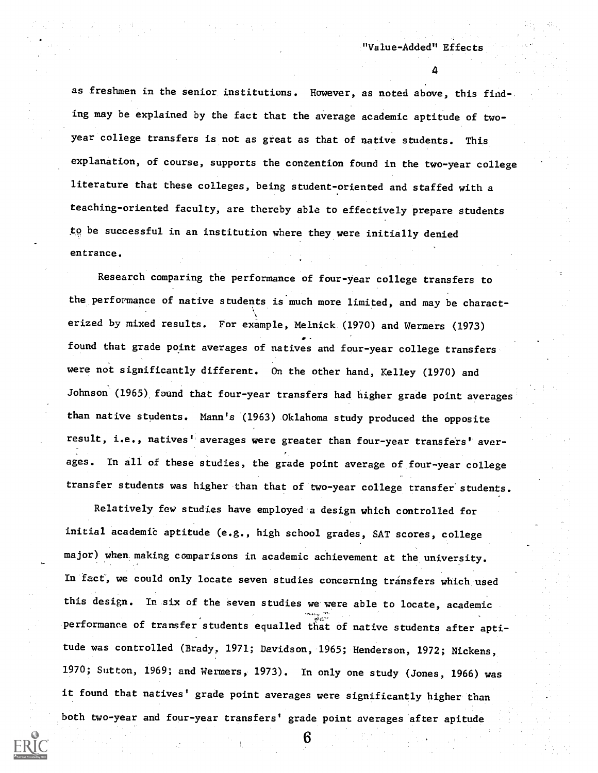as freshmen in the senior institutions. However, as noted above, this finding may be explained by the fact that the average academic aptitude of twoyear college transfers is not as great as that of native students. This explanation, of course, supports the contention found in the two-year college literature that these colleges, being student-oriented and staffed with a teaching-oriented faculty, are thereby able to effectively prepare students to be successful in an institution where they were initially denied entrance.

Research comparing the performance of four-year college transfers to the performance of native students is much more limited, and may be charact erized by mixed results. For example, Melnick (1970) and Wermers (1973) , found that grade point averages of natives and four-year college transfers were not significantly different. On the other hand, Kelley (1970) and Johnson (1965) found that four-year transfers had higher grade point averages than native students. Mann's (1963) Oklahoma study produced the opposite result, i.e., natives<sup>t</sup> averages were greater than four-year transfers' averages. In all of these studies, the grade point average of four-year college transfer students was higher than that of two-year college transfer students.

Relatively few studies have employed a design which controlled for initial academic aptitude (e.g., high school grades, SAT scores, college major) when making comparisons in academic achievement at the university. In fact, we could only locate seven studies concerning transfers which used this design. In six of the seven studies we were able to locate, academic performance of transfer students equalled that of native students after aptitude was controlled (Brady, 1971; Davidson, 1965; Henderson, 1972; Nickens, 1970; Sutton, 1969; and Wermers, 1973). In only one study (Jones, 1966) was it found that natives' grade point averages were significantly higher than both two-year and four-year transfers' grade point averages after apitude

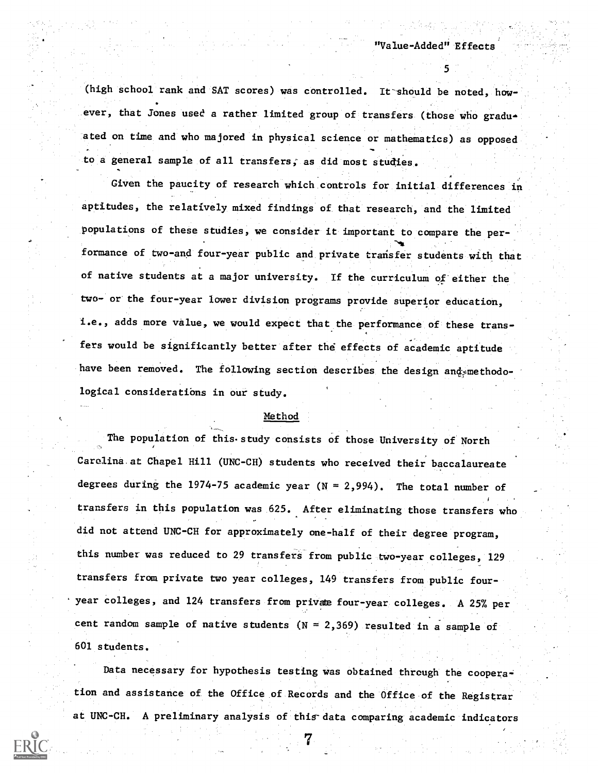(high school rank and SAT scores) was controlled. It should be noted, how-. ever, that Jones used a rather limited group of transfers (those who gradu. ated on time and who majored in physical science or mathematics) as opposed to a general sample of all transfers; as did most studies,

Given the paucity of research which controls for initial differences in aptitudes, the relatively mixed findings of that research, and the limited populations of these studies, we consider it important to compare the per formance of two-and four-year public and private transfer students with that of native students at a major university. If the curriculum of either the two- or the four-year lower division programs provide superior education, i.e., adds more value, we would expect that the performance of these transfers would be significantly better after the effects of academic aptitude have been removed. The following section describes the design and methodological considerations in our study.

### Method

The population of this study consists of those University of North Carolina at Chapel Hill (UNC-CH) students who received their baccalaureate degrees during the 1974-75 academic year  $(N = 2,994)$ . The total number of transfers in this population was 625. After eliminating those transfers who did not attend UNC-CH for approximately one-half of their degree program, this number was reduced to 29 transfers from public two-year colleges, 129 transfers from private two year colleges, 149 transfers from public fouryear colleges, and 124 transfers from private four-year colleges. A 25% per cent random sample of native students ( $N = 2,369$ ) resulted in a sample of 601 students.

Data necessary for hypothesis testing was obtained through the cooperation and assistance of the Office of Records and the Office of the Registrar at UNC-CH. A preliminary analysis of this data comparing academic indicators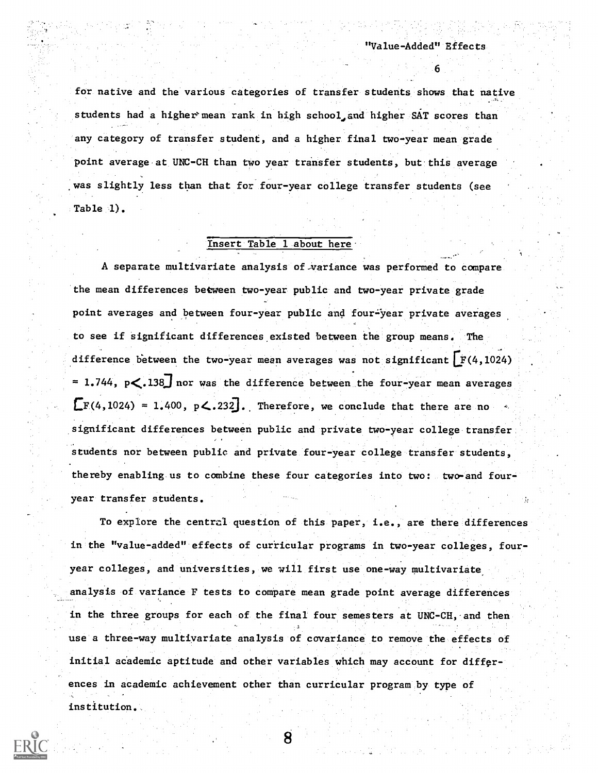$\mathcal{L}=\mathcal{L}^{\text{max}}$  , where  $\mathcal{L}^{\text{max}}$ 

for native and the various categories of transfer students shows that native students had a higher mean rank in high school and higher SAT scores than any category of transfer student, and a higher final two-year mean grade point average at UNC-CH than two year transfer students, but this average was slightly less than that for four-year college transfer students (see Table 1).

## Insert Table 1 about here.

A separate multivariate analysis of-variance was performed to compare the mean differences between two-year public and two-year private grade point averages and between four-year public and four-year private averages to see if significant differences existed between the group means. The difference between the two-year mean averages was not significant  $r(4,1024)$ = 1.744,  $p\lt.138$  nor was the difference between the four-year mean averages  $\mathbb{E}F(4,1024) = 1.400$ ,  $p\leq .232$ . Therefore, we conclude that there are no significant differences between public and private two-year college transfer, students nor between public and private four-year college transfer students, thereby enabling.us to combine these four categories into two: two-and four year transfer students.

To explore the central question of this paper, i.e., are there differences in the "value-added" effects of curricular programs in two-year colleges, fouryear colleges, and universities, we will first use one-way multivariate analysis of variance F tests to compare mean grade point average differences in the three groups for each of the final four semesters at UNC-CH, and then use a three-way multivariate analysis of covariance to remove the effects of initial academic aptitude and other variables which may account for differences in academic achievement other than curricular program by type of institution.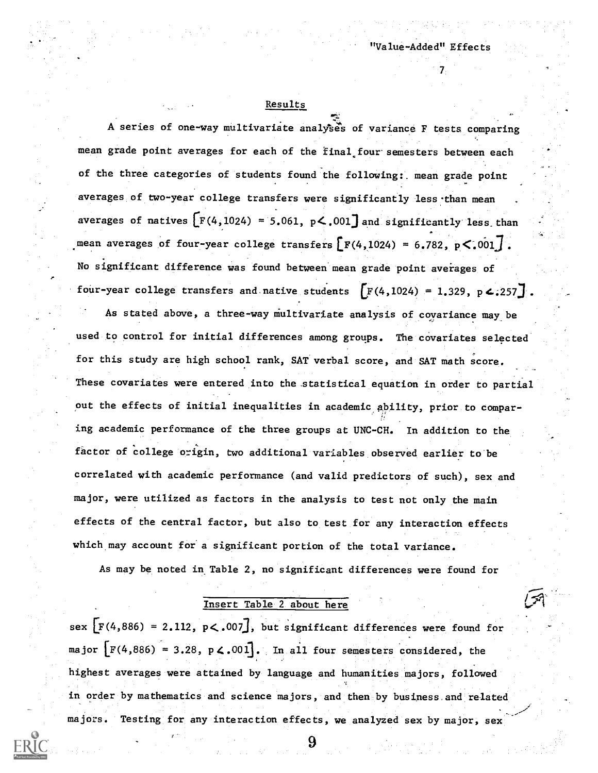# Results

A series of one-way multivariate analyses of variance F tests comparing mean grade point averages for each of the final four semesters between each of the three categories of students found the following:, mean grade point averages of two-year college transfers were significantly less-than mean averages of natives  $\left[\text{F}(4,1024) = 5.061, \text{ p} \le .001\right]$  and significantly less than mean averages of four-year college transfers  $\left[ F(4,1024) = 6.782, p<.001 \right]$ . No significant difference was found between mean grade point averages of four-year college transfers and native students  $[F(4, 1024) = 1.329, p \n4.257]$ .

As stated above, a three-way multivariate analysis of covariance may be used to control for initial differences among groups. The covariates selected for this study are high school rank, SAT verbal score, and SAT math score. These covariates were entered into the statistical equation in order to partial out the effects of initial inequalities in academic ability, prior to compar-  $\mathcal{L}_i$  . The set of  $\mathcal{L}_i$ ing academic performance of the three groups at UNC-CH. In addition to the factor of college origin, two additional variables observed earlier to be correlated with academic performance (and valid predictors of such), sex and major, were utilized as factors in the analysis to test not only the main effects of the central factor, but also to test for any interaction effects which may account for a significant portion of the total variance.

As may be noted in. Table 2, no significant differences were found for

# Insert Table 2 about here

sex  $\lbrack F(4,886) = 2.112, p<.007 \rbrack$ , but significant differences were found for major  $[F(4,886) = 3.28, p \, \textless.001]$ . In all four semesters considered, the highest averages were attained by language and humanities majors, followed in order by mathematics and science majors, and then by business and related majors. Testing for any interaction effects, we analyzed sex by major, sex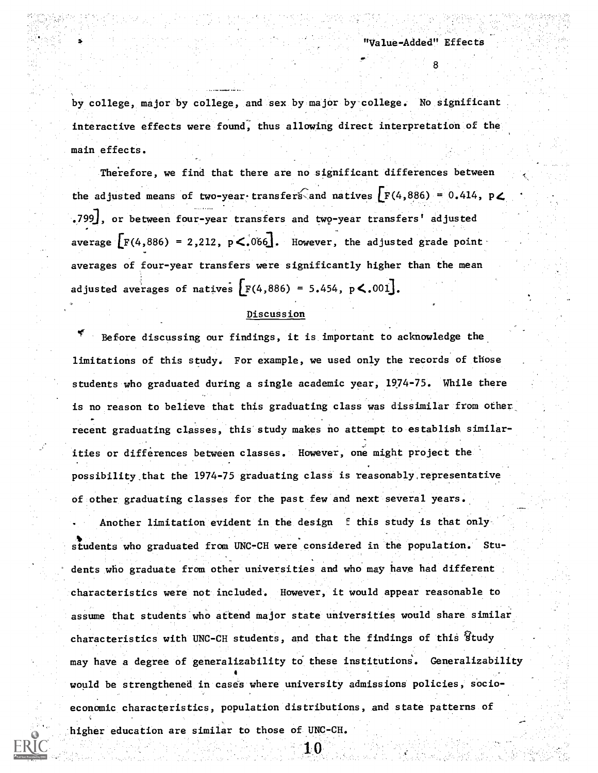by college, major by college, and sex by major by college. No significant interactive effects were found, thus allowing direct interpretation of the main effecta.

Therefore, we find that there are no significant differences between the adjusted means of two-year-transfers and natives  $\left[F(4,886) = 0.414$ , p $\swarrow$ \_ .... \_ .799], or between four-year transfers and two-year transfers' adjusted average  $\mathbf{F}(4,886) = 2,212$ ,  $\mathbf{p} < .066$ . However, the adjusted grade pointaverages of four-year transfers were significantly higher than the mean adjusted averages of natives  $F(4,886) = 5.454$ ,  $p \le .001$ .

### Discussion

Before discussing our findings, it is important to acknowledge the limitations of this study. For example, we used only the records of those students who graduated during a single academic year, 1974-75. While there is no reason to believe that this graduating class was dissimilar from other recent graduating classes, this study makes no attempt to establish similarities or differences between classes. However, one might project the possibility that the 1974-75 graduating class is reasonably representative of other graduating classes for the past few and next several years.

Another limitation evident in the design E this study is that only students who graduated from UNC-CH were considered in the population. Students who graduate from other universities and who may have had different characteristics were not included. However, it would appear reasonable to assume that students who attend major state universities would share similar characteristics with UNC-CH students, and that the findings of this study may have a degree of generalizability to these institutions. Generalizability 4 would be strengthened in cases where university admissions policies, socioeconomic characteristics, population distributions, and state patterns of higher education are similar to those of UNC-CH.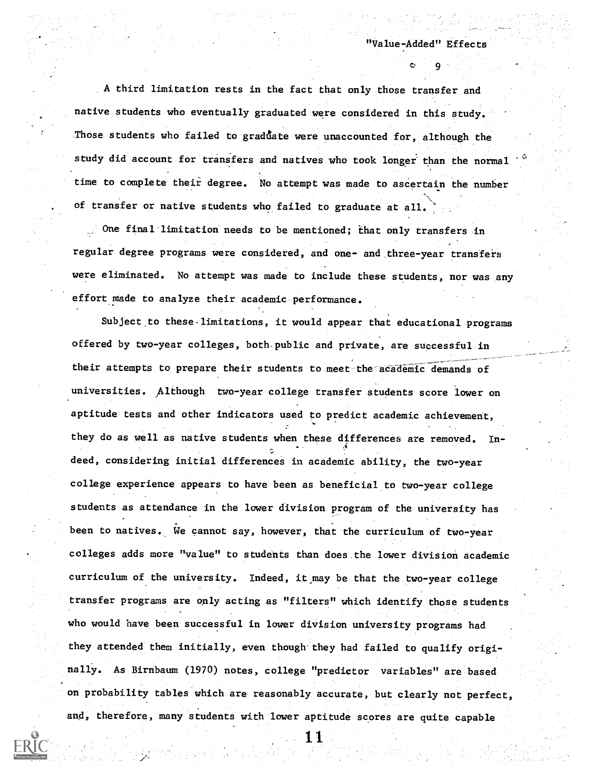9 (1968).

A third limitation rests in the fact that only those transfer and native students who eventually graduated were considered in this study. Those students who failed to graduate were unaccounted for, although the study did account for transfers and natives who took longer than the normal time to complete their degree. No attempt was made to ascertain the number of transfer or native students who failed to graduate at all.

One final limitation needs to be mentioned; ihat only transfers in regular degree programs were considered, and one- and.three-year transfers were eliminated. No attempt was made to include these students, nor was any effort made to analyze their academic performance.

Subject to these-limitations, it would appear that educational programs offered by two-year colleges, both-public and private, are successful in their attempts to prepare their students to meet the academic demands of universities. Although two-year college transfer students score lower on aptitude tests and other indicators used to predict academic achievement, they do as well as native students when these differences are removed. Indeed, considering initial differences in academic ability, the two-year college experience appears to have been as beneficial to two-year college students as attendance in the lower division program of the university has been to natives. We cannot say, however, that the curriculum of two-year colleges adds more "value" to students than does the lawer division academic curriculum of the university. Indeed, it.may be that the two-year college transfer programs are only acting as "filters" which identify those students who would have been successful in lower division university programs had they attended them initially, even though they had failed to qualify originally. As Birnbaum (1970) notes, college "predictor variables" are based on probability tables which are reasonably accurate, but clearly not perfect, and, therefore, many students with lower aptitude scores are quite capable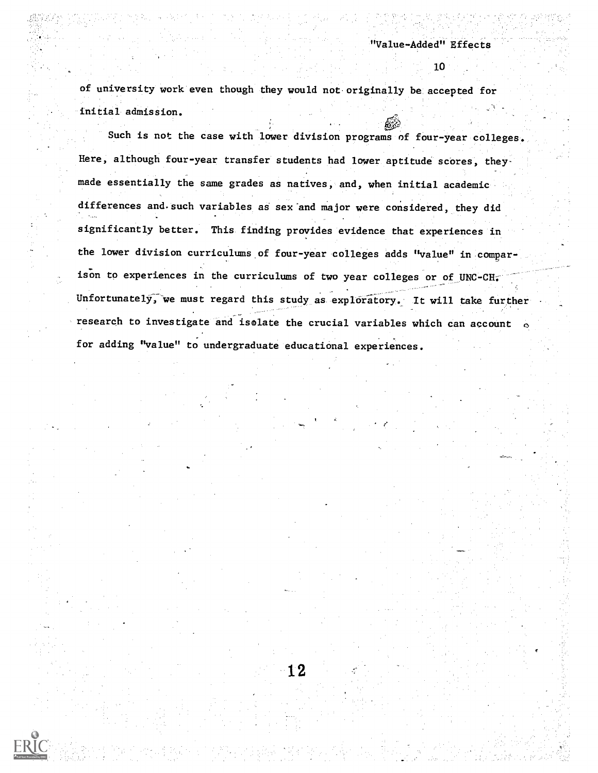of university work even though they would not originally be accepted for initial admission.

Such is not the case with lower division programs of four-year colleges. Here, although four-year transfer students had lower aptitude scores, theymade essentially the same grades as natives, and, when initial academic differences and.such variables as sex'and major were considered, they did significantly better. This finding provides evidence that experiences in the lower division curriculums of four-year colleges adds "value" in comparison to experiences in the curriculums of two year colleges or of UNC-CH. Unfortunately, we must regard this study as exploratory. It will take further research to investigate and isolate the crucial variables which can account  $\circ$ for adding "value" to undergraduate educational experiences.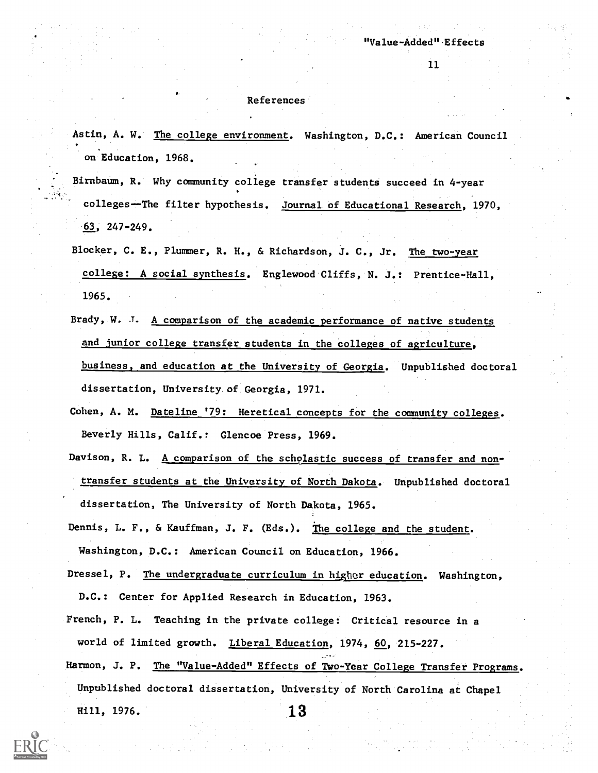#### References

Astin, A. W. The college environment. Washington, D.C.: American Council on Education, 1968.

Birnbaum, R. Why community college transfer students succeed in 4-year colleges--The filter hypothesis. Journal of Educational Research, 1970,  $-63$ , 247-249.

Blocker, C. E., Plummer, R. H., & Richardson, J. C., Jr. The two-year college: A social synthesis. Englewood Cliffs, N. J.: Prentice-Hall, 1965.

Brady, W. J. A comparison of the academic performance of native students and junior college transfer students in the colleges of agriculture, business, and education at the University of Georgia. Unpublished doctoral dissertation, University. of Georgia, 1971.

Cohen, A. M. Dateline '79: Heretical concepts for the community colleges. Beverly Hills, Calif.: Glencoe Press, 1969.

Davison, R. L. A comparison of the scholastic success of transfer and nontransfer students at the University of North Dakota. Unpublished doctoral dissertation, The University of North Dakota, 1965.

Dennis, L. F., & Kauffman, J. F. (Eds.). The college and the student. Weshington, D.C.: American Council on Education, 1966.

- Dressel, P. The undergraduate curriculum in higher education. Washington, D.C.: Center for Applied Research in Education, 1963.
- French, P. L. Teaching in the private college: Critical resource in a world of limited growth. Liberal Education, 1974, 60, 215-227. Harmon, J. P. The "Value-Added" Effects of Two-Year College Transfer Programs.
- Unpublished doctoral dissertation, University of North Carolina at Chapel

Hill, 1976. 13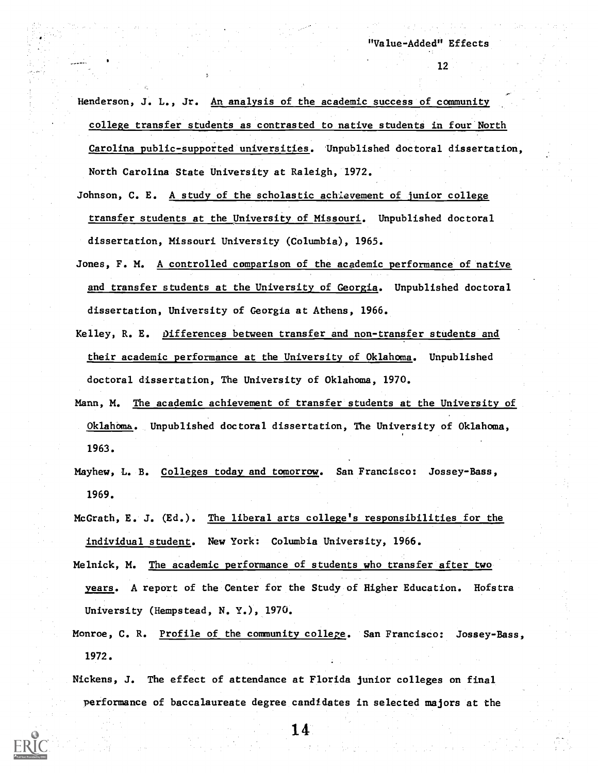Henderson, J. L., Jr. An analysis of the academic success of community college transfer students as contrasted to native students in four North Carolina public-supported universities. Unpublished doctoral dissertation, North Carolina State University at Raleigh, 1972.

- Johnson, C. E. A study of the scholastic achievement of junior college transfer students at the University of Missouri. Unpublished doctoral dissertation, Missouri University (Columbia), 1965.
- Jones, F. M. A controlled comparison of the academic performance of native and transfer students at the University of Georgia. Unpublished doctoral dissertation, University of Georgia at Athens, 1966.
- Kelley, R. E. Differences between transfer and non-transfer students and their academic performance at the University of Oklahoma. Unpublished doctoral dissertation, The University of Oklahoma, 1970.
- Mann, M. The academic achievement of transfer students at the University of Oklahoma. Unpublished doctoral dissertation, The University of Oklahoma, 1963.
- Mayhew, L. B. Colleges today and tomorrow. San Francisco: Jossey-Bass, 1969.
- McGrath, E. J. (Ed.). The liberal arts college's responsibilities for the individual student. New York: Columbia University, 1966.
- Melnick, M. The academic performance of students who transfer after two years. A report of the Center for the Study of Higher Education. Hofstra University (Hempstead, N. Y.), 1970.
- Monroe, C. R. Profile of the community college. San Francisco: Jossey-Bass, 1972.

Nickens, J. The effect of attendance at Florida junior colleges on final performance of baccalaureate degree candidates in selected majors at the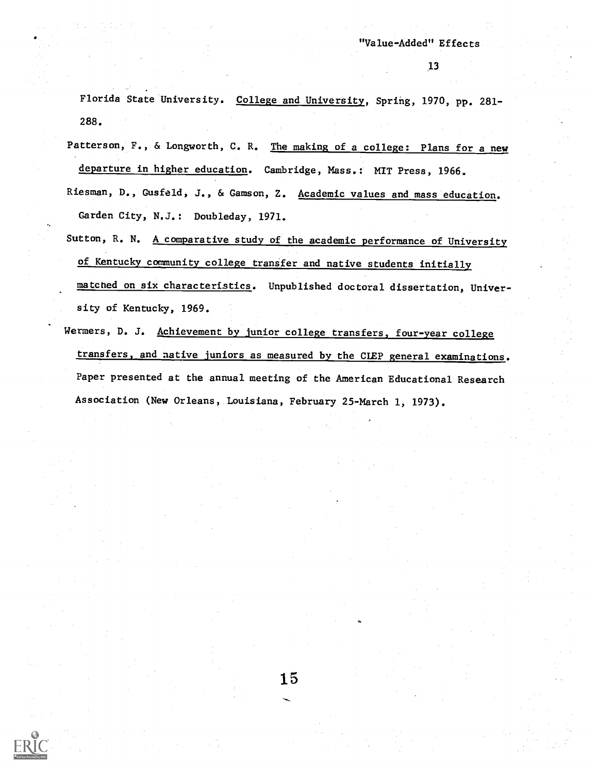Florida State University. College and University, Spring, 1970, pp. 281- 288.

Patterson, F., & Longworth, C. R. The making of a college: Plans for a new departure in higher education. Cambridge, Mass.: MIT Press, 1966.

- Riesman, D., Gusfeld, J., & Gamson, Z. Academic values and mass education. Garden City, N.J.: Doubleday, 1971.
- Sutton, R. N. A comparative study of the academic performance of University of Kentucky community college transfer and native students initially matcned on six characteristics. Unpublished doctoral dissertation, University of Kentucky, 1969.
- Wermers, D. J. Achievement by junior college transfers, four-year college transfers, and native juniors as measured by the CLEP general examinations. Paper presented at the annual meeting of the American Educational Research Association (New Orleans, Louisiana, February 25-March 1, 1973).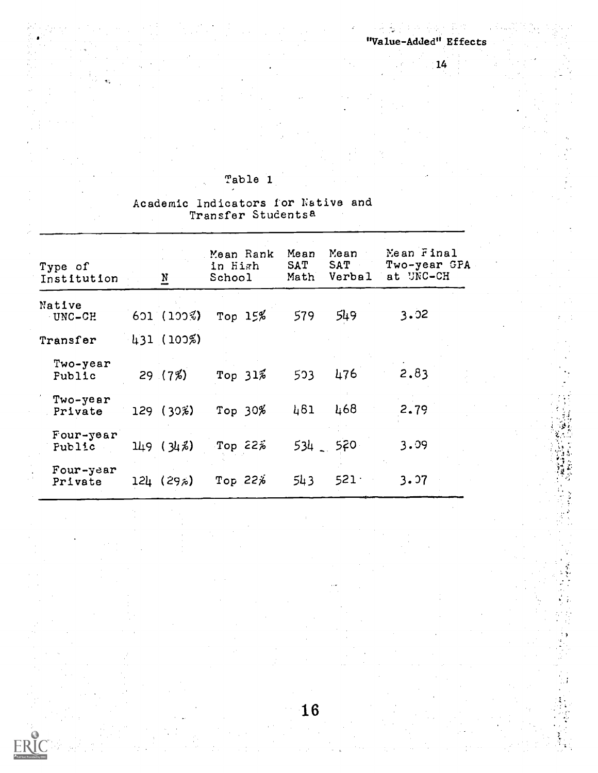五次

# Table 1

# Academic Indicators for Native and Transfer Studentsa

| Type of<br>Institution    | $\underline{N}$ |               | Mean Rank<br>in High<br>School | Mean<br>Mean<br>SAT<br>SAT<br>Verbal<br>Math |             | Mean Final<br>Two-year GPA<br>at UNC-CH |
|---------------------------|-----------------|---------------|--------------------------------|----------------------------------------------|-------------|-----------------------------------------|
| Native<br>UNC-CH          |                 | $601(100\%)$  | Top $15\%$                     | 579                                          | 549         | 3.02                                    |
| Transfer                  |                 | 431(102%)     |                                |                                              |             |                                         |
| Two-year<br><b>Fublic</b> |                 | 29(7%)        | Top $31\%$                     | 503                                          | 476         | 2.83                                    |
| Two-year<br>Private       |                 | $129(30\%)$   | Top $30%$                      | 461                                          | 468         | 2.79                                    |
| Four-year<br>Public       |                 | 149(34)       | Top $22\%$                     |                                              | $534 - 570$ | 3.09                                    |
| Four-year<br>Private      |                 | $12\mu$ (29%) | Top $22\%$                     | 543                                          | 521         | 3.97                                    |

16

ER